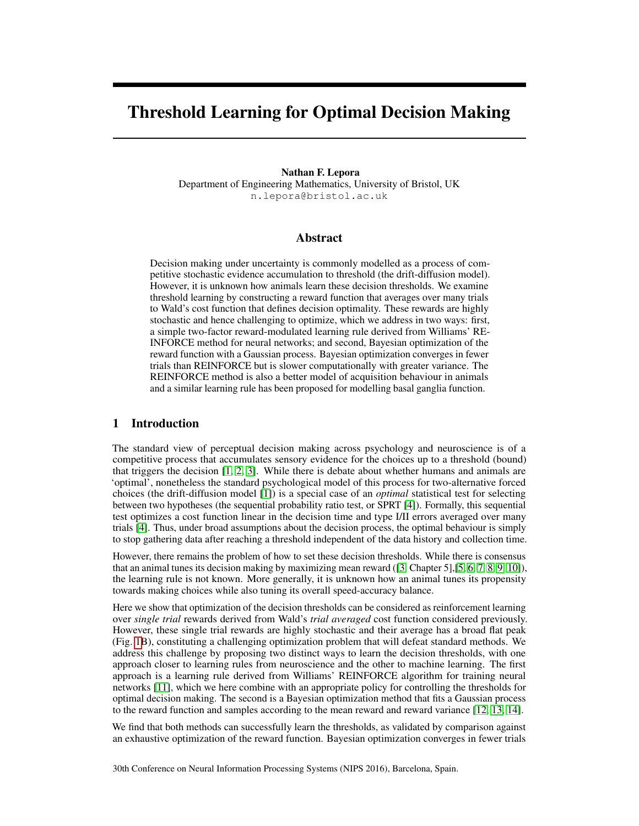# Threshold Learning for Optimal Decision Making

Nathan F. Lepora Department of Engineering Mathematics, University of Bristol, UK n.lepora@bristol.ac.uk

## Abstract

Decision making under uncertainty is commonly modelled as a process of competitive stochastic evidence accumulation to threshold (the drift-diffusion model). However, it is unknown how animals learn these decision thresholds. We examine threshold learning by constructing a reward function that averages over many trials to Wald's cost function that defines decision optimality. These rewards are highly stochastic and hence challenging to optimize, which we address in two ways: first, a simple two-factor reward-modulated learning rule derived from Williams' RE-INFORCE method for neural networks; and second, Bayesian optimization of the reward function with a Gaussian process. Bayesian optimization converges in fewer trials than REINFORCE but is slower computationally with greater variance. The REINFORCE method is also a better model of acquisition behaviour in animals and a similar learning rule has been proposed for modelling basal ganglia function.

## 1 Introduction

The standard view of perceptual decision making across psychology and neuroscience is of a competitive process that accumulates sensory evidence for the choices up to a threshold (bound) that triggers the decision  $[1, 2, 3]$ . While there is debate about whether humans and animals are 'optimal', nonetheless the standard psychological model of this process for two-alternative forced choices (the drift-diffusion model [1]) is a special case of an *optimal* statistical test for selecting between two hypotheses (the sequential probability ratio test, or SPRT [4]). Formally, this sequential test optimizes a cost function linear in the decision time and type I/II errors averaged over many trials [4]. Thus, under broad assumptions about the decision process, the optimal behaviour is simply to stop gathering data after reaching a threshold independent of the data history and collection time.

However, there remains the problem of how to set these decision thresholds. While there is consensus that an animal tunes its decision making by maximizing mean reward ([3, Chapter 5],[5, 6, 7, 8, 9, 10]), the learning rule is not known. More generally, it is unknown how an animal tunes its propensity towards making choices while also tuning its overall speed-accuracy balance.

Here we show that optimization of the decision thresholds can be considered as reinforcement learning over *single trial* rewards derived from Wald's *trial averaged* cost function considered previously. However, these single trial rewards are highly stochastic and their average has a broad flat peak (Fig. 1B), constituting a challenging optimization problem that will defeat standard methods. We address this challenge by proposing two distinct ways to learn the decision thresholds, with one approach closer to learning rules from neuroscience and the other to machine learning. The first approach is a learning rule derived from Williams' REINFORCE algorithm for training neural networks [11], which we here combine with an appropriate policy for controlling the thresholds for optimal decision making. The second is a Bayesian optimization method that fits a Gaussian process to the reward function and samples according to the mean reward and reward variance [12, 13, 14].

We find that both methods can successfully learn the thresholds, as validated by comparison against an exhaustive optimization of the reward function. Bayesian optimization converges in fewer trials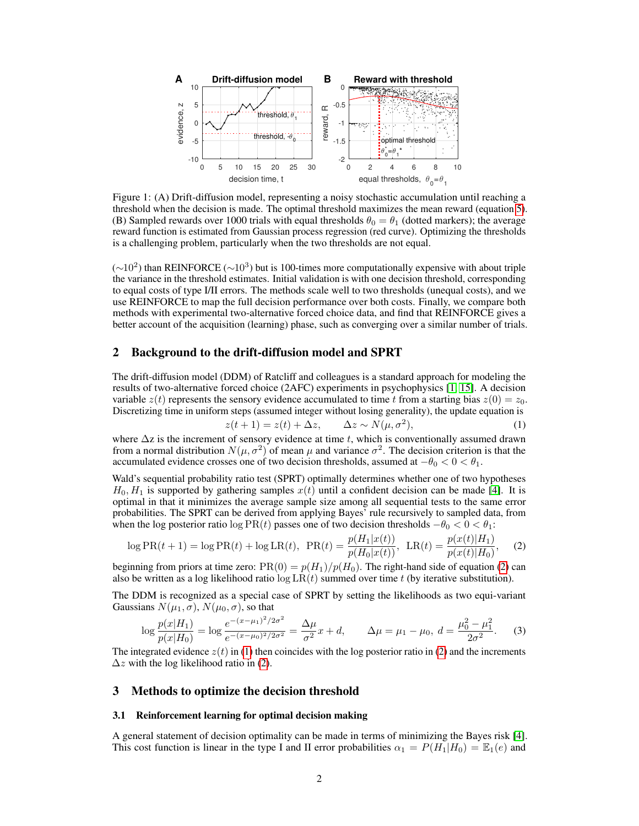

Figure 1: (A) Drift-diffusion model, representing a noisy stochastic accumulation until reaching a threshold when the decision is made. The optimal threshold maximizes the mean reward (equation 5). (B) Sampled rewards over 1000 trials with equal thresholds  $\theta_0 = \theta_1$  (dotted markers); the average reward function is estimated from Gaussian process regression (red curve). Optimizing the thresholds is a challenging problem, particularly when the two thresholds are not equal.

 $(\sim 10^2)$  than REINFORCE ( $\sim 10^3$ ) but is 100-times more computationally expensive with about triple the variance in the threshold estimates. Initial validation is with one decision threshold, corresponding to equal costs of type I/II errors. The methods scale well to two thresholds (unequal costs), and we use REINFORCE to map the full decision performance over both costs. Finally, we compare both methods with experimental two-alternative forced choice data, and find that REINFORCE gives a better account of the acquisition (learning) phase, such as converging over a similar number of trials.

## 2 Background to the drift-diffusion model and SPRT

The drift-diffusion model (DDM) of Ratcliff and colleagues is a standard approach for modeling the results of two-alternative forced choice (2AFC) experiments in psychophysics [1, 15]. A decision variable  $z(t)$  represents the sensory evidence accumulated to time t from a starting bias  $z(0) = z_0$ . Discretizing time in uniform steps (assumed integer without losing generality), the update equation is

$$
z(t+1) = z(t) + \Delta z, \qquad \Delta z \sim N(\mu, \sigma^2), \tag{1}
$$

where  $\Delta z$  is the increment of sensory evidence at time t, which is conventionally assumed drawn from a normal distribution  $N(\mu, \sigma^2)$  of mean  $\mu$  and variance  $\sigma^2$ . The decision criterion is that the accumulated evidence crosses one of two decision thresholds, assumed at  $-\theta_0 < 0 < \theta_1$ .

Wald's sequential probability ratio test (SPRT) optimally determines whether one of two hypotheses  $H_0$ ,  $H_1$  is supported by gathering samples  $x(t)$  until a confident decision can be made [4]. It is optimal in that it minimizes the average sample size among all sequential tests to the same error probabilities. The SPRT can be derived from applying Bayes' rule recursively to sampled data, from when the log posterior ratio log PR(t) passes one of two decision thresholds  $-\theta_0 < 0 < \theta_1$ :

$$
\log \mathrm{PR}(t+1) = \log \mathrm{PR}(t) + \log \mathrm{LR}(t), \ \ \mathrm{PR}(t) = \frac{p(H_1|x(t))}{p(H_0|x(t))}, \ \ \mathrm{LR}(t) = \frac{p(x(t)|H_1)}{p(x(t)|H_0)}, \tag{2}
$$

beginning from priors at time zero:  $\text{PR}(0) = p(H_1)/p(H_0)$ . The right-hand side of equation (2) can also be written as a log likelihood ratio log  $LR(t)$  summed over time t (by iterative substitution).

The DDM is recognized as a special case of SPRT by setting the likelihoods as two equi-variant Gaussians  $N(\mu_1, \sigma)$ ,  $N(\mu_0, \sigma)$ , so that

$$
\log \frac{p(x|H_1)}{p(x|H_0)} = \log \frac{e^{-(x-\mu_1)^2/2\sigma^2}}{e^{-(x-\mu_0)^2/2\sigma^2}} = \frac{\Delta \mu}{\sigma^2} x + d, \qquad \Delta \mu = \mu_1 - \mu_0, \ d = \frac{\mu_0^2 - \mu_1^2}{2\sigma^2}.
$$
 (3)

The integrated evidence  $z(t)$  in (1) then coincides with the log posterior ratio in (2) and the increments  $\Delta z$  with the log likelihood ratio in (2).

## 3 Methods to optimize the decision threshold

#### 3.1 Reinforcement learning for optimal decision making

A general statement of decision optimality can be made in terms of minimizing the Bayes risk [4]. This cost function is linear in the type I and II error probabilities  $\alpha_1 = P(H_1|H_0) = \mathbb{E}_1(e)$  and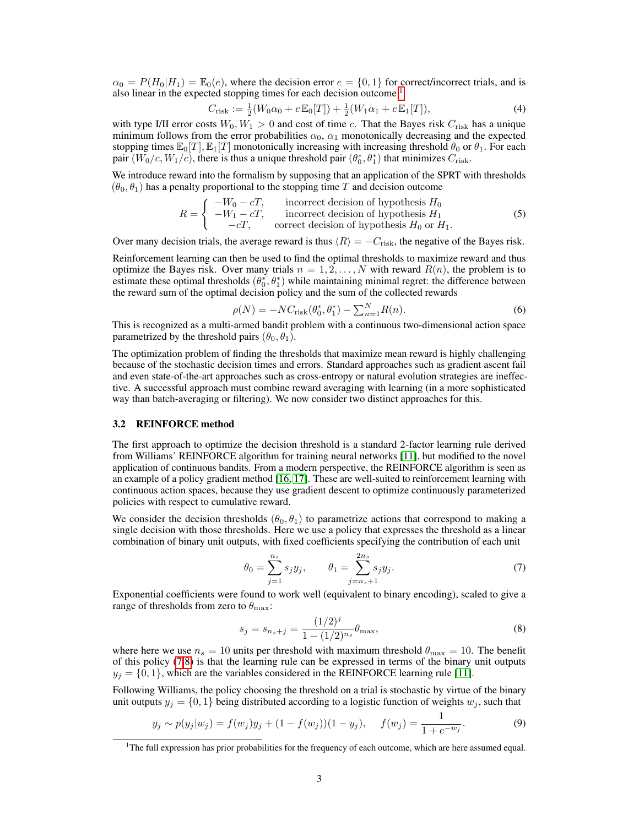$\alpha_0 = P(H_0|H_1) = \mathbb{E}_0(e)$ , where the decision error  $e = \{0, 1\}$  for correct/incorrect trials, and is also linear in the expected stopping times for each decision outcome  $<sup>1</sup>$ </sup>

$$
C_{\text{risk}} := \frac{1}{2}(W_0 \alpha_0 + c \mathbb{E}_0[T]) + \frac{1}{2}(W_1 \alpha_1 + c \mathbb{E}_1[T]),\tag{4}
$$

with type I/II error costs  $W_0, W_1 > 0$  and cost of time c. That the Bayes risk  $C_{\text{risk}}$  has a unique minimum follows from the error probabilities  $\alpha_0$ ,  $\alpha_1$  monotonically decreasing and the expected stopping times  $\mathbb{E}_0[T], \mathbb{E}_1[T]$  monotonically increasing with increasing threshold  $\theta_0$  or  $\theta_1$ . For each pair  $(W_0/c, W_1/c)$ , there is thus a unique threshold pair  $(\theta_0^*, \theta_1^*)$  that minimizes  $C_{\text{risk}}$ .

We introduce reward into the formalism by supposing that an application of the SPRT with thresholds  $(\theta_0, \theta_1)$  has a penalty proportional to the stopping time T and decision outcome

$$
R = \begin{cases} -W_0 - cT, & \text{incorrect decision of hypothesis } H_0 \\ -W_1 - cT, & \text{incorrect decision of hypothesis } H_1 \\ -cT, & \text{correct decision of hypothesis } H_0 \text{ or } H_1. \end{cases}
$$
(5)

Over many decision trials, the average reward is thus  $\langle R \rangle = -C_{\text{risk}}$ , the negative of the Bayes risk.

Reinforcement learning can then be used to find the optimal thresholds to maximize reward and thus optimize the Bayes risk. Over many trials  $n = 1, 2, \ldots, N$  with reward  $R(n)$ , the problem is to estimate these optimal thresholds  $(\theta_0^*, \theta_1^*)$  while maintaining minimal regret: the difference between the reward sum of the optimal decision policy and the sum of the collected rewards

$$
\rho(N) = -NC_{\text{risk}}(\theta_0^*, \theta_1^*) - \sum_{n=1}^N R(n). \tag{6}
$$

This is recognized as a multi-armed bandit problem with a continuous two-dimensional action space parametrized by the threshold pairs  $(\theta_0, \theta_1)$ .

The optimization problem of finding the thresholds that maximize mean reward is highly challenging because of the stochastic decision times and errors. Standard approaches such as gradient ascent fail and even state-of-the-art approaches such as cross-entropy or natural evolution strategies are ineffective. A successful approach must combine reward averaging with learning (in a more sophisticated way than batch-averaging or filtering). We now consider two distinct approaches for this.

## 3.2 REINFORCE method

The first approach to optimize the decision threshold is a standard 2-factor learning rule derived from Williams' REINFORCE algorithm for training neural networks [11], but modified to the novel application of continuous bandits. From a modern perspective, the REINFORCE algorithm is seen as an example of a policy gradient method [16, 17]. These are well-suited to reinforcement learning with continuous action spaces, because they use gradient descent to optimize continuously parameterized policies with respect to cumulative reward.

We consider the decision thresholds  $(\theta_0, \theta_1)$  to parametrize actions that correspond to making a single decision with those thresholds. Here we use a policy that expresses the threshold as a linear combination of binary unit outputs, with fixed coefficients specifying the contribution of each unit

$$
\theta_0 = \sum_{j=1}^{n_s} s_j y_j, \qquad \theta_1 = \sum_{j=n_s+1}^{2n_s} s_j y_j.
$$
 (7)

Exponential coefficients were found to work well (equivalent to binary encoding), scaled to give a range of thresholds from zero to  $\theta_{\text{max}}$ :

$$
s_j = s_{n_s + j} = \frac{(1/2)^j}{1 - (1/2)^{n_s}} \theta_{\text{max}},
$$
\n(8)

where here we use  $n_s = 10$  units per threshold with maximum threshold  $\theta_{\text{max}} = 10$ . The benefit of this policy (7,8) is that the learning rule can be expressed in terms of the binary unit outputs  $y_j = \{0, 1\}$ , which are the variables considered in the REINFORCE learning rule [11].

Following Williams, the policy choosing the threshold on a trial is stochastic by virtue of the binary unit outputs  $y_i = \{0, 1\}$  being distributed according to a logistic function of weights  $w_i$ , such that

$$
y_j \sim p(y_j|w_j) = f(w_j)y_j + (1 - f(w_j))(1 - y_j), \quad f(w_j) = \frac{1}{1 + e^{-w_j}}.
$$
\n(9)

<sup>&</sup>lt;sup>1</sup>The full expression has prior probabilities for the frequency of each outcome, which are here assumed equal.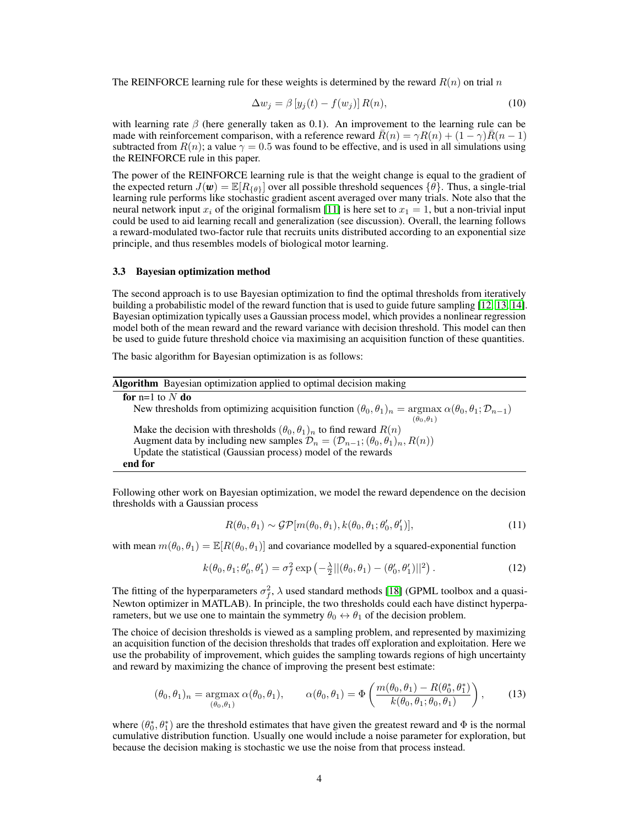The REINFORCE learning rule for these weights is determined by the reward  $R(n)$  on trial n

$$
\Delta w_j = \beta \left[ y_j(t) - f(w_j) \right] R(n),\tag{10}
$$

with learning rate  $\beta$  (here generally taken as 0.1). An improvement to the learning rule can be made with reinforcement comparison, with a reference reward  $R(n) = \gamma R(n) + (1 - \gamma)R(n - 1)$ subtracted from  $R(n)$ ; a value  $\gamma = 0.5$  was found to be effective, and is used in all simulations using the REINFORCE rule in this paper.

The power of the REINFORCE learning rule is that the weight change is equal to the gradient of the expected return  $J(\mathbf{w}) = \mathbb{E}[R_{\{\theta\}}]$  over all possible threshold sequences  $\{\theta\}$ . Thus, a single-trial learning rule performs like stochastic gradient ascent averaged over many trials. Note also that the neural network input  $x_i$  of the original formalism [11] is here set to  $x_1 = 1$ , but a non-trivial input could be used to aid learning recall and generalization (see discussion). Overall, the learning follows a reward-modulated two-factor rule that recruits units distributed according to an exponential size principle, and thus resembles models of biological motor learning.

#### 3.3 Bayesian optimization method

The second approach is to use Bayesian optimization to find the optimal thresholds from iteratively building a probabilistic model of the reward function that is used to guide future sampling [12, 13, 14]. Bayesian optimization typically uses a Gaussian process model, which provides a nonlinear regression model both of the mean reward and the reward variance with decision threshold. This model can then be used to guide future threshold choice via maximising an acquisition function of these quantities.

The basic algorithm for Bayesian optimization is as follows:

| <b>Algorithm</b> Bayesian optimization applied to optimal decision making                                                                                                                                                                                                  |
|----------------------------------------------------------------------------------------------------------------------------------------------------------------------------------------------------------------------------------------------------------------------------|
| for $n=1$ to N do                                                                                                                                                                                                                                                          |
| New thresholds from optimizing acquisition function $(\theta_0, \theta_1)_n = \argmax \alpha(\theta_0, \theta_1; \mathcal{D}_{n-1})$<br>$(\theta_0,\theta_1)$                                                                                                              |
| Make the decision with thresholds $(\theta_0, \theta_1)_n$ to find reward $R(n)$<br>Augment data by including new samples $\mathcal{D}_n = (\mathcal{D}_{n-1}; (\theta_0, \theta_1)_n, R(n))$<br>Update the statistical (Gaussian process) model of the rewards<br>end for |
|                                                                                                                                                                                                                                                                            |

Following other work on Bayesian optimization, we model the reward dependence on the decision thresholds with a Gaussian process

$$
R(\theta_0, \theta_1) \sim \mathcal{GP}[m(\theta_0, \theta_1), k(\theta_0, \theta_1; \theta'_0, \theta'_1)],
$$
\n(11)

with mean  $m(\theta_0, \theta_1) = \mathbb{E}[R(\theta_0, \theta_1)]$  and covariance modelled by a squared-exponential function

$$
k(\theta_0, \theta_1; \theta'_0, \theta'_1) = \sigma_f^2 \exp\left(-\frac{\lambda}{2}||(\theta_0, \theta_1) - (\theta'_0, \theta'_1)||^2\right).
$$
 (12)

The fitting of the hyperparameters  $\sigma_f^2$ ,  $\lambda$  used standard methods [18] (GPML toolbox and a quasi-Newton optimizer in MATLAB). In principle, the two thresholds could each have distinct hyperparameters, but we use one to maintain the symmetry  $\theta_0 \leftrightarrow \theta_1$  of the decision problem.

The choice of decision thresholds is viewed as a sampling problem, and represented by maximizing an acquisition function of the decision thresholds that trades off exploration and exploitation. Here we use the probability of improvement, which guides the sampling towards regions of high uncertainty and reward by maximizing the chance of improving the present best estimate:

$$
(\theta_0, \theta_1)_n = \underset{(\theta_0, \theta_1)}{\operatorname{argmax}} \alpha(\theta_0, \theta_1), \qquad \alpha(\theta_0, \theta_1) = \Phi\left(\frac{m(\theta_0, \theta_1) - R(\theta_0^*, \theta_1^*)}{k(\theta_0, \theta_1; \theta_0, \theta_1)}\right), \tag{13}
$$

where  $(\theta_0^*, \theta_1^*)$  are the threshold estimates that have given the greatest reward and  $\Phi$  is the normal cumulative distribution function. Usually one would include a noise parameter for exploration, but because the decision making is stochastic we use the noise from that process instead.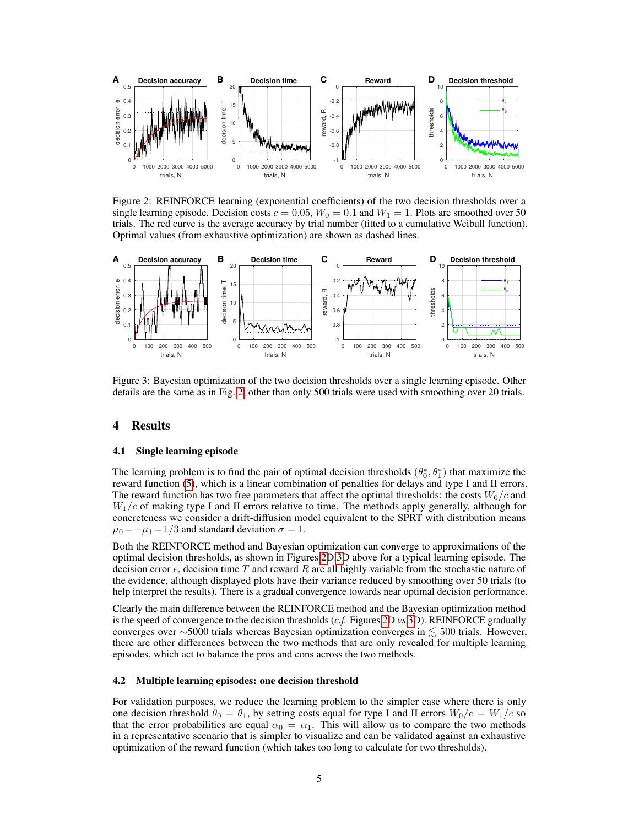

Figure 2: REINFORCE learning (exponential coefficients) of the two decision thresholds over a single learning episode. Decision costs  $c = 0.05$ ,  $W_0 = 0.1$  and  $W_1 = 1$ . Plots are smoothed over 50 trials. The red curve is the average accuracy by trial number (fitted to a cumulative Weibull function). Optimal values (from exhaustive optimization) are shown as dashed lines.



Figure 3: Bayesian optimization of the two decision thresholds over a single learning episode. Other details are the same as in Fig. 2, other than only 500 trials were used with smoothing over 20 trials.

## 4 Results

## 4.1 Single learning episode

The learning problem is to find the pair of optimal decision thresholds  $(\theta_0^*, \theta_1^*)$  that maximize the reward function (5), which is a linear combination of penalties for delays and type I and II errors. The reward function has two free parameters that affect the optimal thresholds: the costs  $W_0/c$  and  $W_1/c$  of making type I and II errors relative to time. The methods apply generally, although for concreteness we consider a drift-diffusion model equivalent to the SPRT with distribution means  $\mu_0 = -\mu_1 = 1/3$  and standard deviation  $\sigma = 1$ .

Both the REINFORCE method and Bayesian optimization can converge to approximations of the optimal decision thresholds, as shown in Figures 2D,3D above for a typical learning episode. The decision error  $e$ , decision time T and reward R are all highly variable from the stochastic nature of the evidence, although displayed plots have their variance reduced by smoothing over 50 trials (to help interpret the results). There is a gradual convergence towards near optimal decision performance.

Clearly the main difference between the REINFORCE method and the Bayesian optimization method is the speed of convergence to the decision thresholds (*c.f.* Figures 2D *vs* 3D). REINFORCE gradually converges over ∼5000 trials whereas Bayesian optimization converges in  $\leq 500$  trials. However, there are other differences between the two methods that are only revealed for multiple learning episodes, which act to balance the pros and cons across the two methods.

## 4.2 Multiple learning episodes: one decision threshold

For validation purposes, we reduce the learning problem to the simpler case where there is only one decision threshold  $\theta_0 = \theta_1$ , by setting costs equal for type I and II errors  $W_0/c = W_1/c$  so that the error probabilities are equal  $\alpha_0 = \alpha_1$ . This will allow us to compare the two methods in a representative scenario that is simpler to visualize and can be validated against an exhaustive optimization of the reward function (which takes too long to calculate for two thresholds).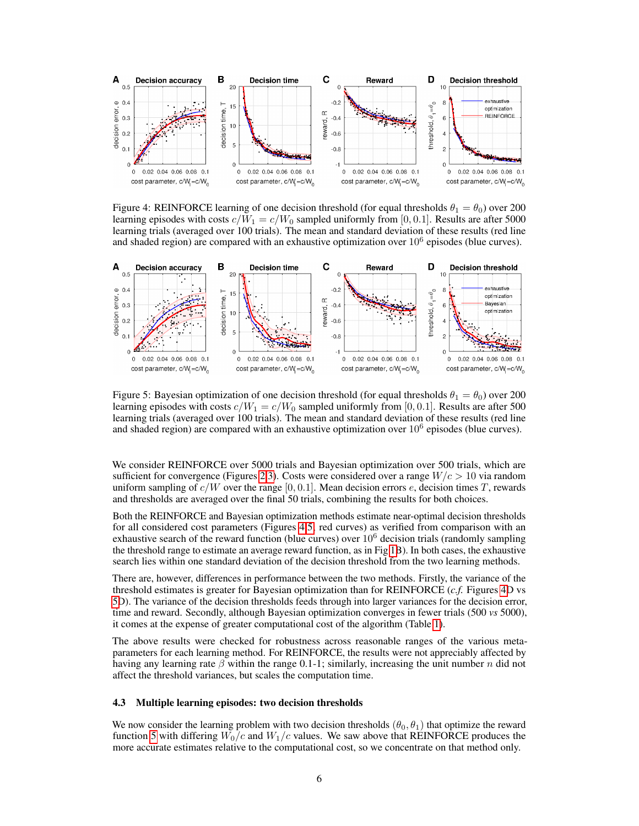

Figure 4: REINFORCE learning of one decision threshold (for equal thresholds  $\theta_1 = \theta_0$ ) over 200 learning episodes with costs  $c/W_1 = c/W_0$  sampled uniformly from [0, 0.1]. Results are after 5000 learning trials (averaged over 100 trials). The mean and standard deviation of these results (red line and shaded region) are compared with an exhaustive optimization over  $10^6$  episodes (blue curves).



Figure 5: Bayesian optimization of one decision threshold (for equal thresholds  $\theta_1 = \theta_0$ ) over 200 learning episodes with costs  $c/W_1 = c/W_0$  sampled uniformly from [0, 0.1]. Results are after 500 learning trials (averaged over 100 trials). The mean and standard deviation of these results (red line and shaded region) are compared with an exhaustive optimization over  $10^6$  episodes (blue curves).

We consider REINFORCE over 5000 trials and Bayesian optimization over 500 trials, which are sufficient for convergence (Figures 2,3). Costs were considered over a range  $W/c > 10$  via random uniform sampling of  $c/W$  over the range [0, 0.1]. Mean decision errors e, decision times T, rewards and thresholds are averaged over the final 50 trials, combining the results for both choices.

Both the REINFORCE and Bayesian optimization methods estimate near-optimal decision thresholds for all considered cost parameters (Figures 4,5; red curves) as verified from comparison with an exhaustive search of the reward function (blue curves) over  $10<sup>6</sup>$  decision trials (randomly sampling the threshold range to estimate an average reward function, as in Fig 1B). In both cases, the exhaustive search lies within one standard deviation of the decision threshold from the two learning methods.

There are, however, differences in performance between the two methods. Firstly, the variance of the threshold estimates is greater for Bayesian optimization than for REINFORCE (*c.f.* Figures 4D vs 5D). The variance of the decision thresholds feeds through into larger variances for the decision error, time and reward. Secondly, although Bayesian optimization converges in fewer trials (500 *vs* 5000), it comes at the expense of greater computational cost of the algorithm (Table 1).

The above results were checked for robustness across reasonable ranges of the various metaparameters for each learning method. For REINFORCE, the results were not appreciably affected by having any learning rate  $\beta$  within the range 0.1-1; similarly, increasing the unit number n did not affect the threshold variances, but scales the computation time.

#### 4.3 Multiple learning episodes: two decision thresholds

We now consider the learning problem with two decision thresholds  $(\theta_0, \theta_1)$  that optimize the reward function 5 with differing  $W_0/c$  and  $W_1/c$  values. We saw above that REINFORCE produces the more accurate estimates relative to the computational cost, so we concentrate on that method only.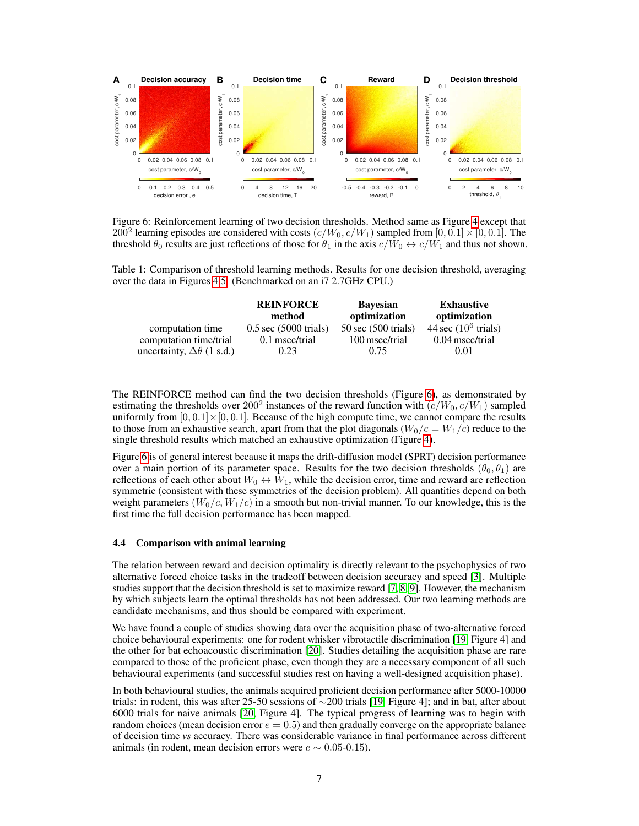

Figure 6: Reinforcement learning of two decision thresholds. Method same as Figure 4 except that 200<sup>2</sup> learning episodes are considered with costs  $(c/W_0, c/W_1)$  sampled from  $[0, 0.1] \times [0, 0.1]$ . The threshold  $\theta_0$  results are just reflections of those for  $\theta_1$  in the axis  $c/W_0 \leftrightarrow c/W_1$  and thus not shown.

Table 1: Comparison of threshold learning methods. Results for one decision threshold, averaging over the data in Figures 4,5. (Benchmarked on an i7 2.7GHz CPU.)

|                                      | <b>REINFORCE</b><br>method        | <b>Bavesian</b><br>optimization | <b>Exhaustive</b><br>optimization |
|--------------------------------------|-----------------------------------|---------------------------------|-----------------------------------|
| computation time                     | $0.5$ sec $(5000 \text{ trials})$ | $50 \text{ sec}$ (500 trials)   | 44 sec $(10^6 \text{ trials})$    |
| computation time/trial               | $0.1$ msec/trial                  | 100 msec/trial                  | $0.04$ msec/trial                 |
| uncertainty, $\Delta\theta$ (1 s.d.) | 0.23                              | 0.75                            | 0.01                              |

The REINFORCE method can find the two decision thresholds (Figure 6), as demonstrated by estimating the thresholds over  $200^2$  instances of the reward function with  $(c/W_0, c/W_1)$  sampled uniformly from  $[0, 0.1] \times [0, 0.1]$ . Because of the high compute time, we cannot compare the results to those from an exhaustive search, apart from that the plot diagonals  $(W_0/c = W_1/c)$  reduce to the single threshold results which matched an exhaustive optimization (Figure 4).

Figure 6 is of general interest because it maps the drift-diffusion model (SPRT) decision performance over a main portion of its parameter space. Results for the two decision thresholds  $(\theta_0, \theta_1)$  are reflections of each other about  $W_0 \leftrightarrow W_1$ , while the decision error, time and reward are reflection symmetric (consistent with these symmetries of the decision problem). All quantities depend on both weight parameters  $(W_0/c, W_1/c)$  in a smooth but non-trivial manner. To our knowledge, this is the first time the full decision performance has been mapped.

#### 4.4 Comparison with animal learning

The relation between reward and decision optimality is directly relevant to the psychophysics of two alternative forced choice tasks in the tradeoff between decision accuracy and speed [3]. Multiple studies support that the decision threshold is set to maximize reward [7, 8, 9]. However, the mechanism by which subjects learn the optimal thresholds has not been addressed. Our two learning methods are candidate mechanisms, and thus should be compared with experiment.

We have found a couple of studies showing data over the acquisition phase of two-alternative forced choice behavioural experiments: one for rodent whisker vibrotactile discrimination [19, Figure 4] and the other for bat echoacoustic discrimination [20]. Studies detailing the acquisition phase are rare compared to those of the proficient phase, even though they are a necessary component of all such behavioural experiments (and successful studies rest on having a well-designed acquisition phase).

In both behavioural studies, the animals acquired proficient decision performance after 5000-10000 trials: in rodent, this was after 25-50 sessions of ∼200 trials [19, Figure 4]; and in bat, after about 6000 trials for naive animals [20, Figure 4]. The typical progress of learning was to begin with random choices (mean decision error  $e = 0.5$ ) and then gradually converge on the appropriate balance of decision time *vs* accuracy. There was considerable variance in final performance across different animals (in rodent, mean decision errors were  $e \sim 0.05$ -0.15).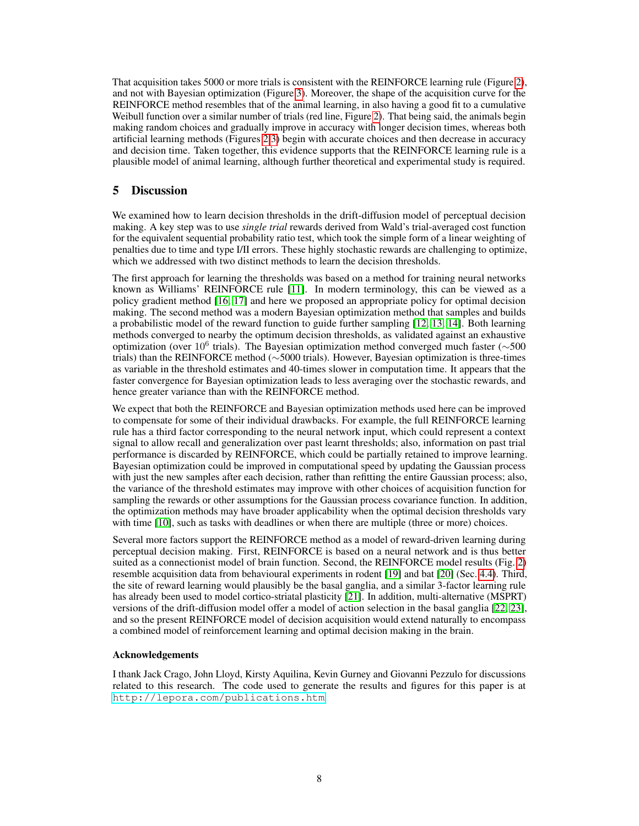That acquisition takes 5000 or more trials is consistent with the REINFORCE learning rule (Figure 2), and not with Bayesian optimization (Figure 3). Moreover, the shape of the acquisition curve for the REINFORCE method resembles that of the animal learning, in also having a good fit to a cumulative Weibull function over a similar number of trials (red line, Figure 2). That being said, the animals begin making random choices and gradually improve in accuracy with longer decision times, whereas both artificial learning methods (Figures 2,3) begin with accurate choices and then decrease in accuracy and decision time. Taken together, this evidence supports that the REINFORCE learning rule is a plausible model of animal learning, although further theoretical and experimental study is required.

## 5 Discussion

We examined how to learn decision thresholds in the drift-diffusion model of perceptual decision making. A key step was to use *single trial* rewards derived from Wald's trial-averaged cost function for the equivalent sequential probability ratio test, which took the simple form of a linear weighting of penalties due to time and type I/II errors. These highly stochastic rewards are challenging to optimize, which we addressed with two distinct methods to learn the decision thresholds.

The first approach for learning the thresholds was based on a method for training neural networks known as Williams' REINFORCE rule [11]. In modern terminology, this can be viewed as a policy gradient method [16, 17] and here we proposed an appropriate policy for optimal decision making. The second method was a modern Bayesian optimization method that samples and builds a probabilistic model of the reward function to guide further sampling [12, 13, 14]. Both learning methods converged to nearby the optimum decision thresholds, as validated against an exhaustive optimization (over 10<sup>6</sup> trials). The Bayesian optimization method converged much faster ( $\sim$ 500 trials) than the REINFORCE method (∼5000 trials). However, Bayesian optimization is three-times as variable in the threshold estimates and 40-times slower in computation time. It appears that the faster convergence for Bayesian optimization leads to less averaging over the stochastic rewards, and hence greater variance than with the REINFORCE method.

We expect that both the REINFORCE and Bayesian optimization methods used here can be improved to compensate for some of their individual drawbacks. For example, the full REINFORCE learning rule has a third factor corresponding to the neural network input, which could represent a context signal to allow recall and generalization over past learnt thresholds; also, information on past trial performance is discarded by REINFORCE, which could be partially retained to improve learning. Bayesian optimization could be improved in computational speed by updating the Gaussian process with just the new samples after each decision, rather than refitting the entire Gaussian process; also, the variance of the threshold estimates may improve with other choices of acquisition function for sampling the rewards or other assumptions for the Gaussian process covariance function. In addition, the optimization methods may have broader applicability when the optimal decision thresholds vary with time [10], such as tasks with deadlines or when there are multiple (three or more) choices.

Several more factors support the REINFORCE method as a model of reward-driven learning during perceptual decision making. First, REINFORCE is based on a neural network and is thus better suited as a connectionist model of brain function. Second, the REINFORCE model results (Fig. 2) resemble acquisition data from behavioural experiments in rodent [19] and bat [20] (Sec. 4.4). Third, the site of reward learning would plausibly be the basal ganglia, and a similar 3-factor learning rule has already been used to model cortico-striatal plasticity [21]. In addition, multi-alternative (MSPRT) versions of the drift-diffusion model offer a model of action selection in the basal ganglia [22, 23], and so the present REINFORCE model of decision acquisition would extend naturally to encompass a combined model of reinforcement learning and optimal decision making in the brain.

## Acknowledgements

I thank Jack Crago, John Lloyd, Kirsty Aquilina, Kevin Gurney and Giovanni Pezzulo for discussions related to this research. The code used to generate the results and figures for this paper is at <http://lepora.com/publications.htm>